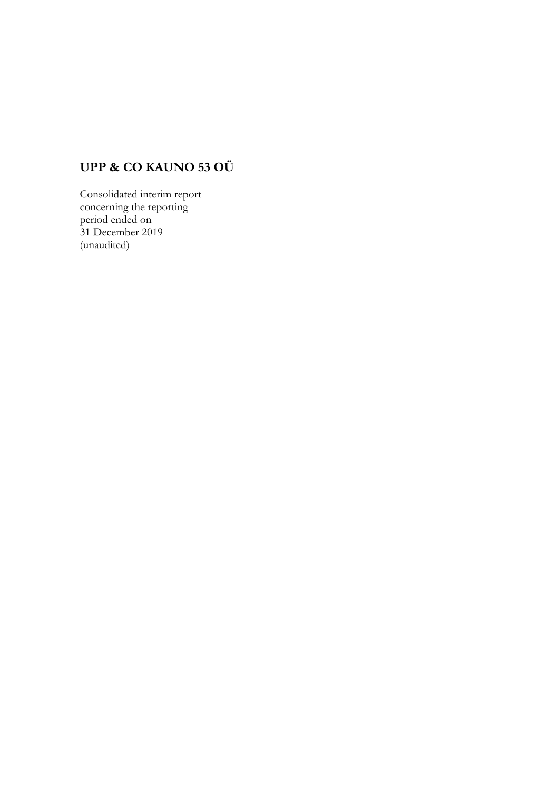# **UPP & CO KAUNO 53 OÜ**

Consolidated interim report concerning the reporting period ended on 31 December 2019 (unaudited)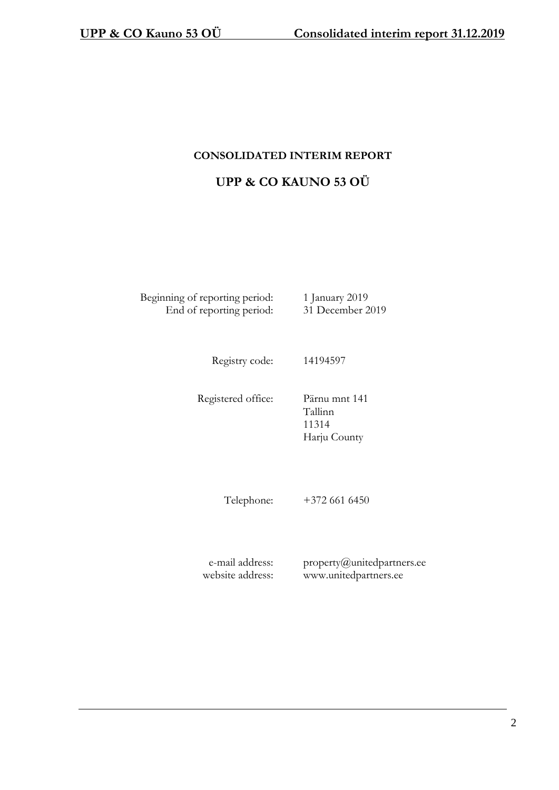## **CONSOLIDATED INTERIM REPORT**

## **UPP & CO KAUNO 53 OÜ**

Beginning of reporting period: 1 January 2019 End of reporting period: 31 December 2019

Registry code: 14194597

Registered office: Pärnu mnt 141

Tallinn 11314 Harju County

Telephone: +372 661 6450

e-mail address: website address: property@unitedpartners.ee www.unitedpartners.ee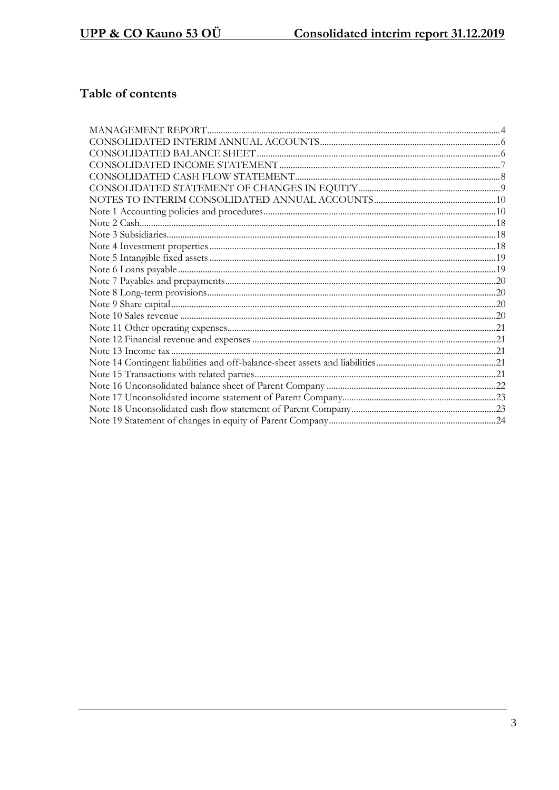# Table of contents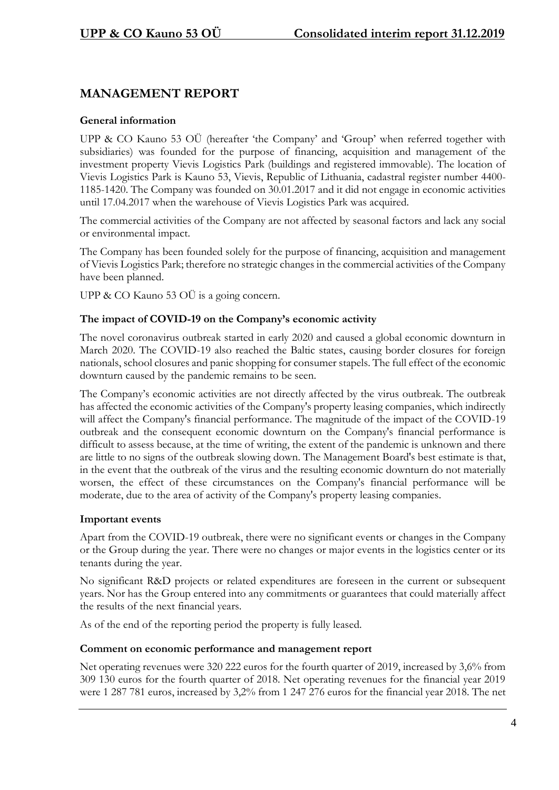## **MANAGEMENT REPORT**

### **General information**

UPP & CO Kauno 53 OÜ (hereafter 'the Company' and 'Group' when referred together with subsidiaries) was founded for the purpose of financing, acquisition and management of the investment property Vievis Logistics Park (buildings and registered immovable). The location of Vievis Logistics Park is Kauno 53, Vievis, Republic of Lithuania, cadastral register number 4400- 1185-1420. The Company was founded on 30.01.2017 and it did not engage in economic activities until 17.04.2017 when the warehouse of Vievis Logistics Park was acquired.

The commercial activities of the Company are not affected by seasonal factors and lack any social or environmental impact.

The Company has been founded solely for the purpose of financing, acquisition and management of Vievis Logistics Park; therefore no strategic changes in the commercial activities of the Company have been planned.

UPP & CO Kauno 53 OU is a going concern.

#### **The impact of COVID-19 on the Company's economic activity**

The novel coronavirus outbreak started in early 2020 and caused a global economic downturn in March 2020. The COVID-19 also reached the Baltic states, causing border closures for foreign nationals, school closures and panic shopping for consumer stapels. The full effect of the economic downturn caused by the pandemic remains to be seen.

The Company's economic activities are not directly affected by the virus outbreak. The outbreak has affected the economic activities of the Company's property leasing companies, which indirectly will affect the Company's financial performance. The magnitude of the impact of the COVID-19 outbreak and the consequent economic downturn on the Company's financial performance is difficult to assess because, at the time of writing, the extent of the pandemic is unknown and there are little to no signs of the outbreak slowing down. The Management Board's best estimate is that, in the event that the outbreak of the virus and the resulting economic downturn do not materially worsen, the effect of these circumstances on the Company's financial performance will be moderate, due to the area of activity of the Company's property leasing companies.

## **Important events**

Apart from the COVID-19 outbreak, there were no significant events or changes in the Company or the Group during the year. There were no changes or major events in the logistics center or its tenants during the year.

No significant R&D projects or related expenditures are foreseen in the current or subsequent years. Nor has the Group entered into any commitments or guarantees that could materially affect the results of the next financial years.

As of the end of the reporting period the property is fully leased.

#### **Comment on economic performance and management report**

Net operating revenues were 320 222 euros for the fourth quarter of 2019, increased by 3,6% from 309 130 euros for the fourth quarter of 2018. Net operating revenues for the financial year 2019 were 1 287 781 euros, increased by 3,2% from 1 247 276 euros for the financial year 2018. The net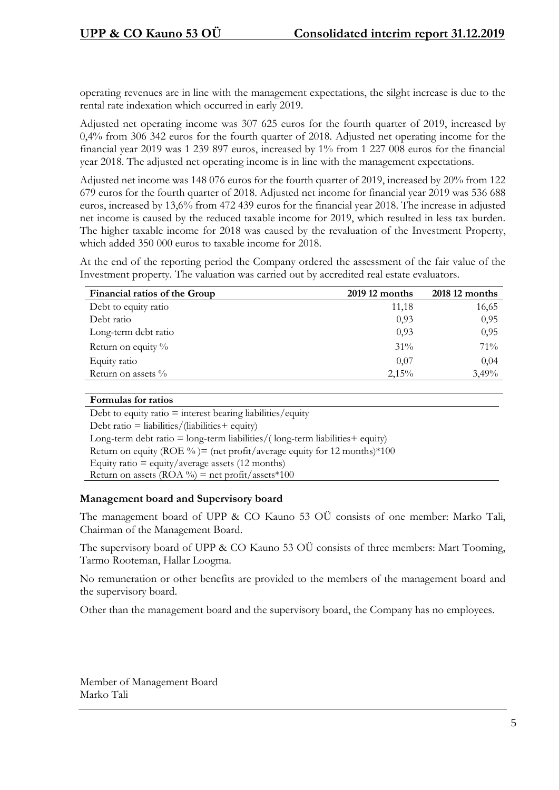operating revenues are in line with the management expectations, the silght increase is due to the rental rate indexation which occurred in early 2019.

Adjusted net operating income was 307 625 euros for the fourth quarter of 2019, increased by 0,4% from 306 342 euros for the fourth quarter of 2018. Adjusted net operating income for the financial year 2019 was 1 239 897 euros, increased by 1% from 1 227 008 euros for the financial year 2018. The adjusted net operating income is in line with the management expectations.

Adjusted net income was 148 076 euros for the fourth quarter of 2019, increased by 20% from 122 679 euros for the fourth quarter of 2018. Adjusted net income for financial year 2019 was 536 688 euros, increased by 13,6% from 472 439 euros for the financial year 2018. The increase in adjusted net income is caused by the reduced taxable income for 2019, which resulted in less tax burden. The higher taxable income for 2018 was caused by the revaluation of the Investment Property, which added 350 000 euros to taxable income for 2018.

At the end of the reporting period the Company ordered the assessment of the fair value of the Investment property. The valuation was carried out by accredited real estate evaluators.

| Financial ratios of the Group | 2019 12 months | 2018 12 months |
|-------------------------------|----------------|----------------|
| Debt to equity ratio          | 11,18          | 16,65          |
| Debt ratio                    | 0,93           | 0,95           |
| Long-term debt ratio          | 0,93           | 0,95           |
| Return on equity $\%$         | $31\%$         | $71\%$         |
| Equity ratio                  | 0,07           | 0,04           |
| Return on assets $\%$         | 2,15%          | 3,49%          |

#### **Formulas for ratios**

Debt to equity ratio  $=$  interest bearing liabilities/equity Debt ratio = liabilities/(liabilities+ equity) Long-term debt ratio  $=$  long-term liabilities/(long-term liabilities  $+$  equity) Return on equity (ROE %) = (net profit/average equity for 12 months)  $*100$ Equity ratio  $=$  equity/average assets (12 months) Return on assets (ROA %) = net profit/assets \*100

#### **Management board and Supervisory board**

The management board of UPP & CO Kauno 53 OÜ consists of one member: Marko Tali, Chairman of the Management Board.

The supervisory board of UPP & CO Kauno 53 OÜ consists of three members: Mart Tooming, Tarmo Rooteman, Hallar Loogma.

No remuneration or other benefits are provided to the members of the management board and the supervisory board.

Other than the management board and the supervisory board, the Company has no employees.

Member of Management Board Marko Tali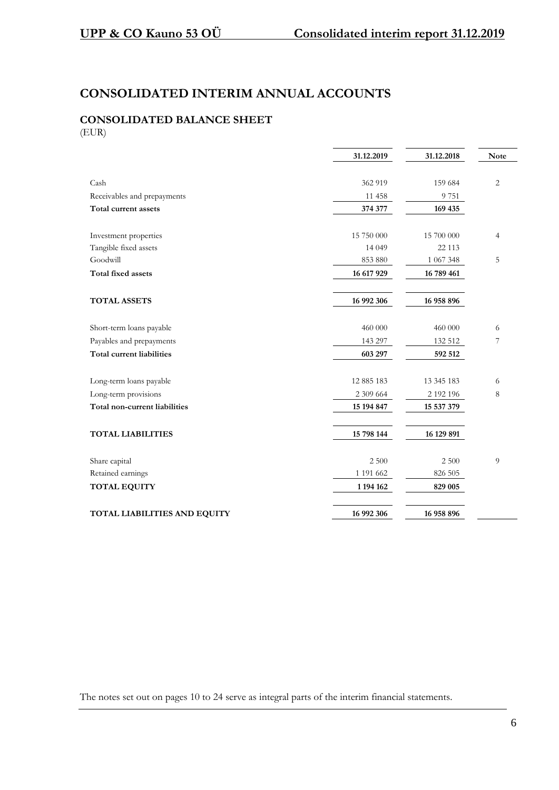## **CONSOLIDATED INTERIM ANNUAL ACCOUNTS**

# **CONSOLIDATED BALANCE SHEET**

(EUR)

|                               | 31.12.2019 | 31.12.2018 | Note           |
|-------------------------------|------------|------------|----------------|
|                               |            |            |                |
| Cash                          | 362 919    | 159 684    | $\overline{2}$ |
| Receivables and prepayments   | 11 458     | 9751       |                |
| Total current assets          | 374 377    | 169 435    |                |
| Investment properties         | 15 750 000 | 15 700 000 | $\overline{4}$ |
| Tangible fixed assets         | 14 049     | 22 113     |                |
| Goodwill                      | 853 880    | 1 067 348  | 5              |
| <b>Total fixed assets</b>     | 16 617 929 | 16 789 461 |                |
| <b>TOTAL ASSETS</b>           | 16 992 306 | 16 958 896 |                |
| Short-term loans payable      | 460 000    | 460 000    | 6              |
| Payables and prepayments      | 143 297    | 132 512    | 7              |
| Total current liabilities     | 603 297    | 592 512    |                |
| Long-term loans payable       | 12 885 183 | 13 345 183 | 6              |
| Long-term provisions          | 2 309 664  | 2 192 196  | 8              |
| Total non-current liabilities | 15 194 847 | 15 537 379 |                |
| <b>TOTAL LIABILITIES</b>      | 15 798 144 | 16 129 891 |                |
| Share capital                 | 2 500      | 2 500      | 9              |
| Retained earnings             | 1 191 662  | 826 505    |                |
| <b>TOTAL EQUITY</b>           | 1 194 162  | 829 005    |                |
| TOTAL LIABILITIES AND EQUITY  | 16 992 306 | 16 958 896 |                |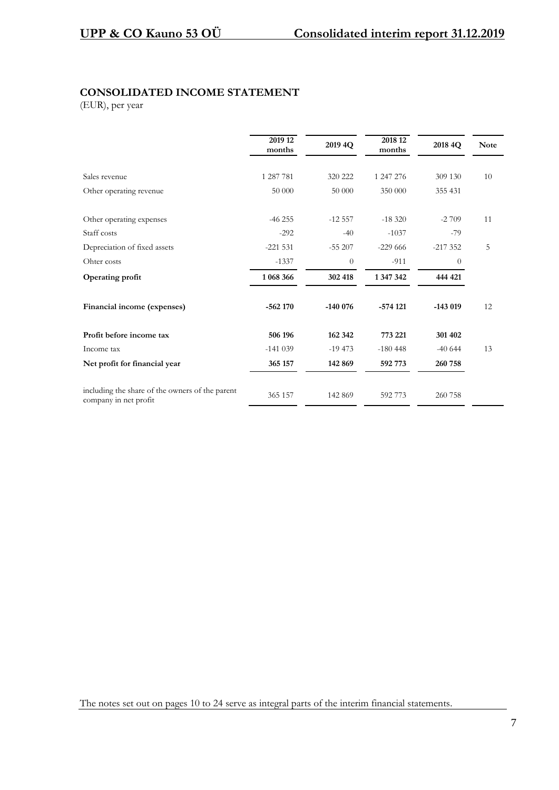## **CONSOLIDATED INCOME STATEMENT**

(EUR), per year

|                                                                          | 2019 12<br>months | 2019 4Q   | 2018 12<br>months | 2018 4Q   | <b>Note</b> |
|--------------------------------------------------------------------------|-------------------|-----------|-------------------|-----------|-------------|
| Sales revenue                                                            | 1 287 781         | 320 222   | 1 247 276         | 309 130   | 10          |
| Other operating revenue                                                  | 50 000            | 50 000    | 350 000           | 355 431   |             |
| Other operating expenses                                                 | $-46255$          | $-12557$  | $-18,320$         | $-2709$   | 11          |
| Staff costs                                                              | $-292$            | $-40$     | $-1037$           | $-79$     |             |
| Depreciation of fixed assets                                             | $-221531$         | $-55207$  | $-229666$         | $-217352$ | 5           |
| Ohter costs                                                              | $-1337$           | $\theta$  | $-911$            | $\theta$  |             |
| Operating profit                                                         | 1 068 366         | 302 418   | 1 347 342         | 444 421   |             |
| Financial income (expenses)                                              | $-562170$         | $-140076$ | $-574121$         | $-143019$ | 12          |
| Profit before income tax                                                 | 506 196           | 162 342   | 773 221           | 301 402   |             |
| Income tax                                                               | $-141039$         | $-19473$  | $-180448$         | $-40644$  | 13          |
| Net profit for financial year                                            | 365 157           | 142 869   | 592 773           | 260 758   |             |
| including the share of the owners of the parent<br>company in net profit | 365 157           | 142 869   | 592 773           | 260 758   |             |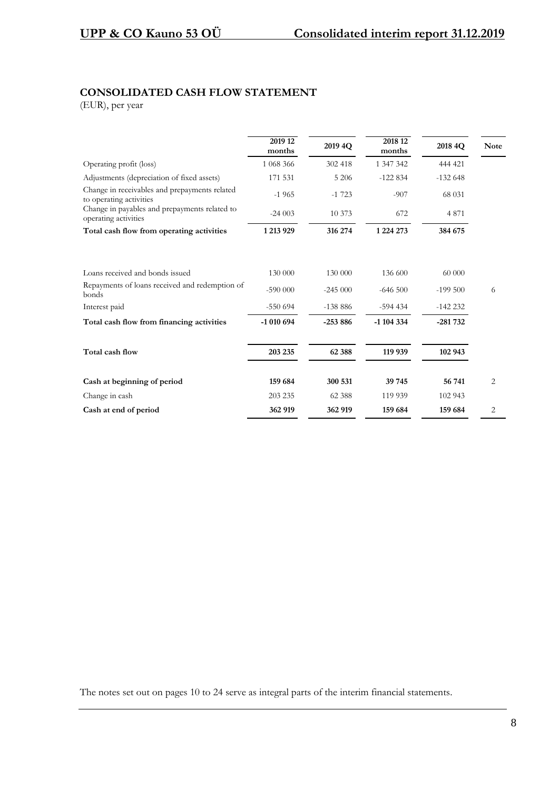## **CONSOLIDATED CASH FLOW STATEMENT**

(EUR), per year

|                                                                          | 2019 12<br>months | 2019 4Q   | 2018 12<br>months | 2018 4Q   | <b>Note</b> |
|--------------------------------------------------------------------------|-------------------|-----------|-------------------|-----------|-------------|
| Operating profit (loss)                                                  | 1 068 366         | 302 418   | 1 347 342         | 444 421   |             |
| Adjustments (depreciation of fixed assets)                               | 171 531           | 5 2 0 6   | $-122834$         | $-132648$ |             |
| Change in receivables and prepayments related<br>to operating activities | $-1965$           | $-1723$   | $-907$            | 68 031    |             |
| Change in payables and prepayments related to<br>operating activities    | $-24003$          | 10 373    | 672               | 4 8 7 1   |             |
| Total cash flow from operating activities                                | 1 213 929         | 316 274   | 1 2 2 4 2 7 3     | 384 675   |             |
| Loans received and bonds issued                                          | 130 000           | 130 000   | 136 600           | 60 000    |             |
| Repayments of loans received and redemption of<br>bonds                  | $-590000$         | $-245000$ | $-646500$         | $-199500$ | 6           |
| Interest paid                                                            | $-550694$         | $-138886$ | $-594434$         | $-142232$ |             |
| Total cash flow from financing activities                                | -1 010 694        | $-253886$ | $-1$ 104 334      | $-281732$ |             |
| Total cash flow                                                          | 203 235           | 62 388    | 119 939           | 102 943   |             |
| Cash at beginning of period                                              | 159 684           | 300 531   | 39 745            | 56 741    | 2           |
| Change in cash                                                           | 203 235           | 62 388    | 119 939           | 102 943   |             |
| Cash at end of period                                                    | 362 919           | 362 919   | 159 684           | 159 684   | 2           |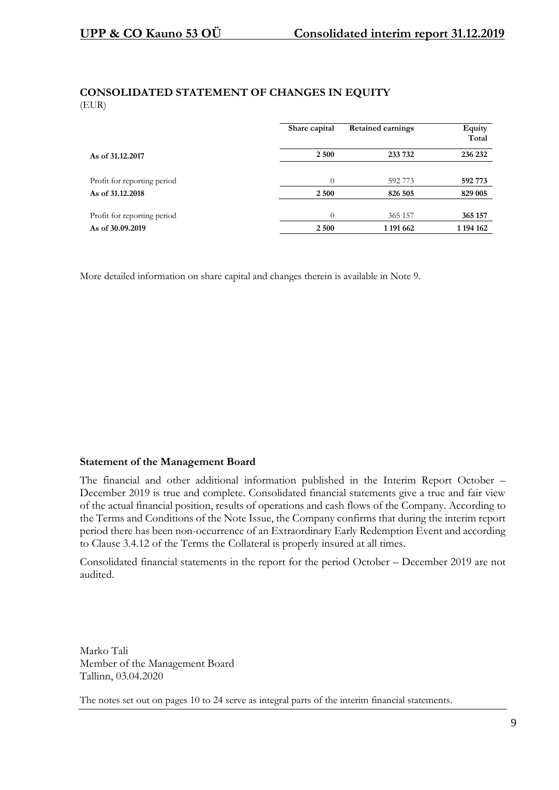#### **CONSOLIDATED STATEMENT OF CHANGES IN EQUITY** (EUR)

|                             | Share capital | <b>Retained earnings</b> | Equity<br>Total |
|-----------------------------|---------------|--------------------------|-----------------|
| As of 31.12.2017            | 2 500         | 233 732                  | 236 232         |
|                             |               |                          |                 |
| Profit for reporting period | $\theta$      | 592 773                  | 592 773         |
| As of 31.12.2018            | 2 500         | 826 505                  | 829 005         |
|                             |               |                          |                 |
| Profit for reporting period | $\Omega$      | 365 157                  | 365 157         |
| As of 30.09.2019            | 2 500         | 1 191 662                | 1 194 162       |

More detailed information on share capital and changes therein is available in Note 9.

#### **Statement of the Management Board**

The financial and other additional information published in the Interim Report October – December 2019 is true and complete. Consolidated financial statements give a true and fair view of the actual financial position, results of operations and cash flows of the Company. According to the Terms and Conditions of the Note Issue, the Company confirms that during the interim report period there has been non-occurrence of an Extraordinary Early Redemption Event and according to Clause 3.4.12 of the Terms the Collateral is properly insured at all times.

Consolidated financial statements in the report for the period October – December 2019 are not audited.

Marko Tali Member of the Management Board Tallinn, 03.04.2020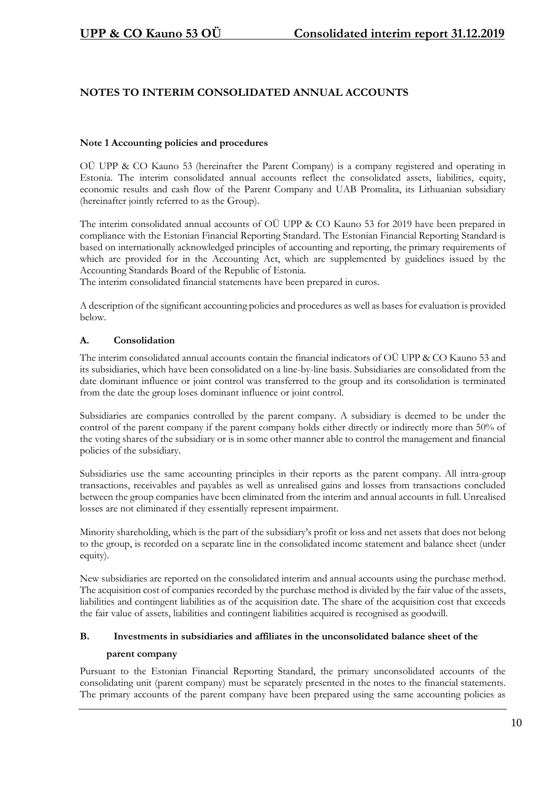## **NOTES TO INTERIM CONSOLIDATED ANNUAL ACCOUNTS**

#### **Note 1 Accounting policies and procedures**

OÜ UPP & CO Kauno 53 (hereinafter the Parent Company) is a company registered and operating in Estonia. The interim consolidated annual accounts reflect the consolidated assets, liabilities, equity, economic results and cash flow of the Parent Company and UAB Promalita, its Lithuanian subsidiary (hereinafter jointly referred to as the Group).

The interim consolidated annual accounts of OÜ UPP & CO Kauno 53 for 2019 have been prepared in compliance with the Estonian Financial Reporting Standard. The Estonian Financial Reporting Standard is based on internationally acknowledged principles of accounting and reporting, the primary requirements of which are provided for in the Accounting Act, which are supplemented by guidelines issued by the Accounting Standards Board of the Republic of Estonia.

The interim consolidated financial statements have been prepared in euros.

A description of the significant accounting policies and procedures as well as bases for evaluation is provided below.

#### **A. Consolidation**

The interim consolidated annual accounts contain the financial indicators of OÜ UPP & CO Kauno 53 and its subsidiaries, which have been consolidated on a line-by-line basis. Subsidiaries are consolidated from the date dominant influence or joint control was transferred to the group and its consolidation is terminated from the date the group loses dominant influence or joint control.

Subsidiaries are companies controlled by the parent company. A subsidiary is deemed to be under the control of the parent company if the parent company holds either directly or indirectly more than 50% of the voting shares of the subsidiary or is in some other manner able to control the management and financial policies of the subsidiary.

Subsidiaries use the same accounting principles in their reports as the parent company. All intra-group transactions, receivables and payables as well as unrealised gains and losses from transactions concluded between the group companies have been eliminated from the interim and annual accounts in full. Unrealised losses are not eliminated if they essentially represent impairment.

Minority shareholding, which is the part of the subsidiary's profit or loss and net assets that does not belong to the group, is recorded on a separate line in the consolidated income statement and balance sheet (under equity).

New subsidiaries are reported on the consolidated interim and annual accounts using the purchase method. The acquisition cost of companies recorded by the purchase method is divided by the fair value of the assets, liabilities and contingent liabilities as of the acquisition date. The share of the acquisition cost that exceeds the fair value of assets, liabilities and contingent liabilities acquired is recognised as goodwill.

#### **B. Investments in subsidiaries and affiliates in the unconsolidated balance sheet of the**

#### **parent company**

Pursuant to the Estonian Financial Reporting Standard, the primary unconsolidated accounts of the consolidating unit (parent company) must be separately presented in the notes to the financial statements. The primary accounts of the parent company have been prepared using the same accounting policies as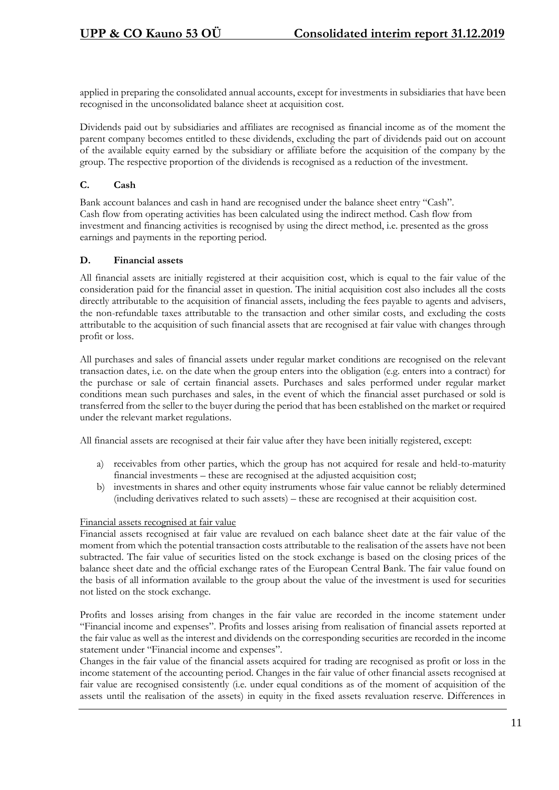applied in preparing the consolidated annual accounts, except for investments in subsidiaries that have been recognised in the unconsolidated balance sheet at acquisition cost.

Dividends paid out by subsidiaries and affiliates are recognised as financial income as of the moment the parent company becomes entitled to these dividends, excluding the part of dividends paid out on account of the available equity earned by the subsidiary or affiliate before the acquisition of the company by the group. The respective proportion of the dividends is recognised as a reduction of the investment.

#### **C. Cash**

Bank account balances and cash in hand are recognised under the balance sheet entry "Cash". Cash flow from operating activities has been calculated using the indirect method. Cash flow from investment and financing activities is recognised by using the direct method, i.e. presented as the gross earnings and payments in the reporting period.

#### **D. Financial assets**

All financial assets are initially registered at their acquisition cost, which is equal to the fair value of the consideration paid for the financial asset in question. The initial acquisition cost also includes all the costs directly attributable to the acquisition of financial assets, including the fees payable to agents and advisers, the non-refundable taxes attributable to the transaction and other similar costs, and excluding the costs attributable to the acquisition of such financial assets that are recognised at fair value with changes through profit or loss.

All purchases and sales of financial assets under regular market conditions are recognised on the relevant transaction dates, i.e. on the date when the group enters into the obligation (e.g. enters into a contract) for the purchase or sale of certain financial assets. Purchases and sales performed under regular market conditions mean such purchases and sales, in the event of which the financial asset purchased or sold is transferred from the seller to the buyer during the period that has been established on the market or required under the relevant market regulations.

All financial assets are recognised at their fair value after they have been initially registered, except:

- a) receivables from other parties, which the group has not acquired for resale and held-to-maturity financial investments – these are recognised at the adjusted acquisition cost;
- b) investments in shares and other equity instruments whose fair value cannot be reliably determined (including derivatives related to such assets) – these are recognised at their acquisition cost.

#### Financial assets recognised at fair value

Financial assets recognised at fair value are revalued on each balance sheet date at the fair value of the moment from which the potential transaction costs attributable to the realisation of the assets have not been subtracted. The fair value of securities listed on the stock exchange is based on the closing prices of the balance sheet date and the official exchange rates of the European Central Bank. The fair value found on the basis of all information available to the group about the value of the investment is used for securities not listed on the stock exchange.

Profits and losses arising from changes in the fair value are recorded in the income statement under "Financial income and expenses". Profits and losses arising from realisation of financial assets reported at the fair value as well as the interest and dividends on the corresponding securities are recorded in the income statement under "Financial income and expenses".

Changes in the fair value of the financial assets acquired for trading are recognised as profit or loss in the income statement of the accounting period. Changes in the fair value of other financial assets recognised at fair value are recognised consistently (i.e. under equal conditions as of the moment of acquisition of the assets until the realisation of the assets) in equity in the fixed assets revaluation reserve. Differences in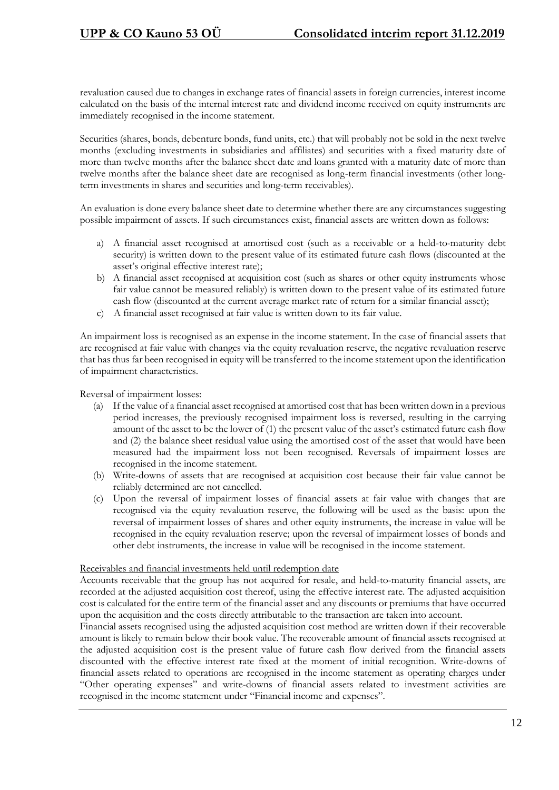revaluation caused due to changes in exchange rates of financial assets in foreign currencies, interest income calculated on the basis of the internal interest rate and dividend income received on equity instruments are immediately recognised in the income statement.

Securities (shares, bonds, debenture bonds, fund units, etc.) that will probably not be sold in the next twelve months (excluding investments in subsidiaries and affiliates) and securities with a fixed maturity date of more than twelve months after the balance sheet date and loans granted with a maturity date of more than twelve months after the balance sheet date are recognised as long-term financial investments (other longterm investments in shares and securities and long-term receivables).

An evaluation is done every balance sheet date to determine whether there are any circumstances suggesting possible impairment of assets. If such circumstances exist, financial assets are written down as follows:

- a) A financial asset recognised at amortised cost (such as a receivable or a held-to-maturity debt security) is written down to the present value of its estimated future cash flows (discounted at the asset's original effective interest rate);
- b) A financial asset recognised at acquisition cost (such as shares or other equity instruments whose fair value cannot be measured reliably) is written down to the present value of its estimated future cash flow (discounted at the current average market rate of return for a similar financial asset);
- c) A financial asset recognised at fair value is written down to its fair value.

An impairment loss is recognised as an expense in the income statement. In the case of financial assets that are recognised at fair value with changes via the equity revaluation reserve, the negative revaluation reserve that has thus far been recognised in equity will be transferred to the income statement upon the identification of impairment characteristics.

Reversal of impairment losses:

- (a) If the value of a financial asset recognised at amortised cost that has been written down in a previous period increases, the previously recognised impairment loss is reversed, resulting in the carrying amount of the asset to be the lower of (1) the present value of the asset's estimated future cash flow and (2) the balance sheet residual value using the amortised cost of the asset that would have been measured had the impairment loss not been recognised. Reversals of impairment losses are recognised in the income statement.
- (b) Write-downs of assets that are recognised at acquisition cost because their fair value cannot be reliably determined are not cancelled.
- (c) Upon the reversal of impairment losses of financial assets at fair value with changes that are recognised via the equity revaluation reserve, the following will be used as the basis: upon the reversal of impairment losses of shares and other equity instruments, the increase in value will be recognised in the equity revaluation reserve; upon the reversal of impairment losses of bonds and other debt instruments, the increase in value will be recognised in the income statement.

#### Receivables and financial investments held until redemption date

Accounts receivable that the group has not acquired for resale, and held-to-maturity financial assets, are recorded at the adjusted acquisition cost thereof, using the effective interest rate. The adjusted acquisition cost is calculated for the entire term of the financial asset and any discounts or premiums that have occurred upon the acquisition and the costs directly attributable to the transaction are taken into account.

Financial assets recognised using the adjusted acquisition cost method are written down if their recoverable amount is likely to remain below their book value. The recoverable amount of financial assets recognised at the adjusted acquisition cost is the present value of future cash flow derived from the financial assets discounted with the effective interest rate fixed at the moment of initial recognition. Write-downs of financial assets related to operations are recognised in the income statement as operating charges under "Other operating expenses" and write-downs of financial assets related to investment activities are recognised in the income statement under "Financial income and expenses".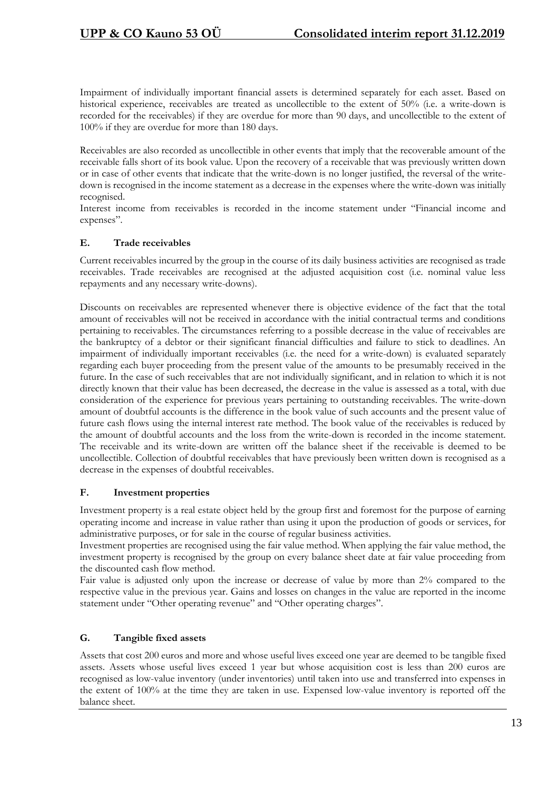Impairment of individually important financial assets is determined separately for each asset. Based on historical experience, receivables are treated as uncollectible to the extent of 50% (i.e. a write-down is recorded for the receivables) if they are overdue for more than 90 days, and uncollectible to the extent of 100% if they are overdue for more than 180 days.

Receivables are also recorded as uncollectible in other events that imply that the recoverable amount of the receivable falls short of its book value. Upon the recovery of a receivable that was previously written down or in case of other events that indicate that the write-down is no longer justified, the reversal of the writedown is recognised in the income statement as a decrease in the expenses where the write-down was initially recognised.

Interest income from receivables is recorded in the income statement under "Financial income and expenses".

#### **E. Trade receivables**

Current receivables incurred by the group in the course of its daily business activities are recognised as trade receivables. Trade receivables are recognised at the adjusted acquisition cost (i.e. nominal value less repayments and any necessary write-downs).

Discounts on receivables are represented whenever there is objective evidence of the fact that the total amount of receivables will not be received in accordance with the initial contractual terms and conditions pertaining to receivables. The circumstances referring to a possible decrease in the value of receivables are the bankruptcy of a debtor or their significant financial difficulties and failure to stick to deadlines. An impairment of individually important receivables (i.e. the need for a write-down) is evaluated separately regarding each buyer proceeding from the present value of the amounts to be presumably received in the future. In the case of such receivables that are not individually significant, and in relation to which it is not directly known that their value has been decreased, the decrease in the value is assessed as a total, with due consideration of the experience for previous years pertaining to outstanding receivables. The write-down amount of doubtful accounts is the difference in the book value of such accounts and the present value of future cash flows using the internal interest rate method. The book value of the receivables is reduced by the amount of doubtful accounts and the loss from the write-down is recorded in the income statement. The receivable and its write-down are written off the balance sheet if the receivable is deemed to be uncollectible. Collection of doubtful receivables that have previously been written down is recognised as a decrease in the expenses of doubtful receivables.

#### **F. Investment properties**

Investment property is a real estate object held by the group first and foremost for the purpose of earning operating income and increase in value rather than using it upon the production of goods or services, for administrative purposes, or for sale in the course of regular business activities.

Investment properties are recognised using the fair value method. When applying the fair value method, the investment property is recognised by the group on every balance sheet date at fair value proceeding from the discounted cash flow method.

Fair value is adjusted only upon the increase or decrease of value by more than 2% compared to the respective value in the previous year. Gains and losses on changes in the value are reported in the income statement under "Other operating revenue" and "Other operating charges".

#### **G. Tangible fixed assets**

Assets that cost 200 euros and more and whose useful lives exceed one year are deemed to be tangible fixed assets. Assets whose useful lives exceed 1 year but whose acquisition cost is less than 200 euros are recognised as low-value inventory (under inventories) until taken into use and transferred into expenses in the extent of 100% at the time they are taken in use. Expensed low-value inventory is reported off the balance sheet.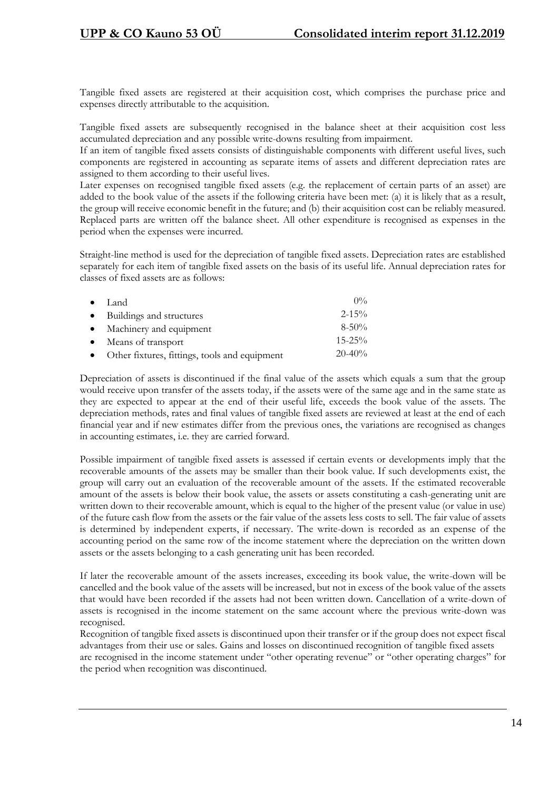Tangible fixed assets are registered at their acquisition cost, which comprises the purchase price and expenses directly attributable to the acquisition.

Tangible fixed assets are subsequently recognised in the balance sheet at their acquisition cost less accumulated depreciation and any possible write-downs resulting from impairment.

If an item of tangible fixed assets consists of distinguishable components with different useful lives, such components are registered in accounting as separate items of assets and different depreciation rates are assigned to them according to their useful lives.

Later expenses on recognised tangible fixed assets (e.g. the replacement of certain parts of an asset) are added to the book value of the assets if the following criteria have been met: (a) it is likely that as a result, the group will receive economic benefit in the future; and (b) their acquisition cost can be reliably measured. Replaced parts are written off the balance sheet. All other expenditure is recognised as expenses in the period when the expenses were incurred.

Straight-line method is used for the depreciation of tangible fixed assets. Depreciation rates are established separately for each item of tangible fixed assets on the basis of its useful life. Annual depreciation rates for classes of fixed assets are as follows:

| $\bullet$ Land                                  | $0\%$       |
|-------------------------------------------------|-------------|
| • Buildings and structures                      | $2 - 15\%$  |
| • Machinery and equipment                       | $8 - 50\%$  |
| • Means of transport                            | $15 - 25\%$ |
| • Other fixtures, fittings, tools and equipment | $20 - 40\%$ |

Depreciation of assets is discontinued if the final value of the assets which equals a sum that the group would receive upon transfer of the assets today, if the assets were of the same age and in the same state as they are expected to appear at the end of their useful life, exceeds the book value of the assets. The depreciation methods, rates and final values of tangible fixed assets are reviewed at least at the end of each financial year and if new estimates differ from the previous ones, the variations are recognised as changes in accounting estimates, i.e. they are carried forward.

Possible impairment of tangible fixed assets is assessed if certain events or developments imply that the recoverable amounts of the assets may be smaller than their book value. If such developments exist, the group will carry out an evaluation of the recoverable amount of the assets. If the estimated recoverable amount of the assets is below their book value, the assets or assets constituting a cash-generating unit are written down to their recoverable amount, which is equal to the higher of the present value (or value in use) of the future cash flow from the assets or the fair value of the assets less costs to sell. The fair value of assets is determined by independent experts, if necessary. The write-down is recorded as an expense of the accounting period on the same row of the income statement where the depreciation on the written down assets or the assets belonging to a cash generating unit has been recorded.

If later the recoverable amount of the assets increases, exceeding its book value, the write-down will be cancelled and the book value of the assets will be increased, but not in excess of the book value of the assets that would have been recorded if the assets had not been written down. Cancellation of a write-down of assets is recognised in the income statement on the same account where the previous write-down was recognised.

Recognition of tangible fixed assets is discontinued upon their transfer or if the group does not expect fiscal advantages from their use or sales. Gains and losses on discontinued recognition of tangible fixed assets are recognised in the income statement under "other operating revenue" or "other operating charges" for the period when recognition was discontinued.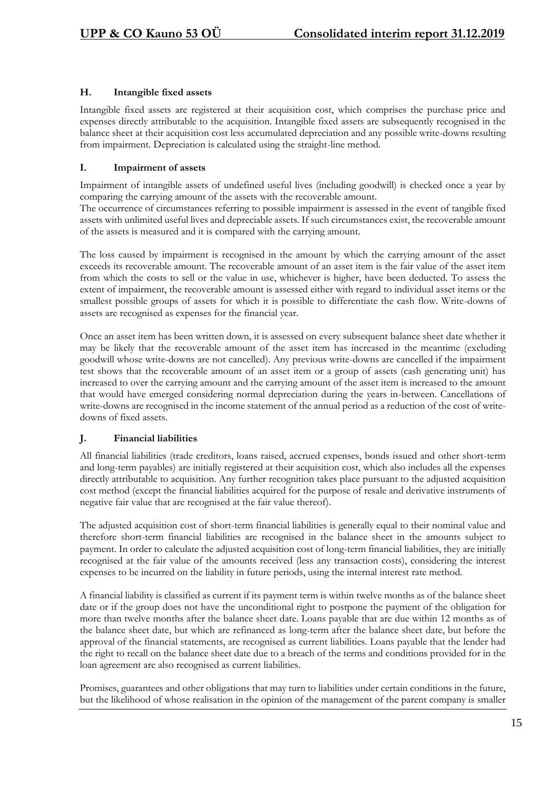#### **H. Intangible fixed assets**

Intangible fixed assets are registered at their acquisition cost, which comprises the purchase price and expenses directly attributable to the acquisition. Intangible fixed assets are subsequently recognised in the balance sheet at their acquisition cost less accumulated depreciation and any possible write-downs resulting from impairment. Depreciation is calculated using the straight-line method.

#### **I. Impairment of assets**

Impairment of intangible assets of undefined useful lives (including goodwill) is checked once a year by comparing the carrying amount of the assets with the recoverable amount.

The occurrence of circumstances referring to possible impairment is assessed in the event of tangible fixed assets with unlimited useful lives and depreciable assets. If such circumstances exist, the recoverable amount of the assets is measured and it is compared with the carrying amount.

The loss caused by impairment is recognised in the amount by which the carrying amount of the asset exceeds its recoverable amount. The recoverable amount of an asset item is the fair value of the asset item from which the costs to sell or the value in use, whichever is higher, have been deducted. To assess the extent of impairment, the recoverable amount is assessed either with regard to individual asset items or the smallest possible groups of assets for which it is possible to differentiate the cash flow. Write-downs of assets are recognised as expenses for the financial year.

Once an asset item has been written down, it is assessed on every subsequent balance sheet date whether it may be likely that the recoverable amount of the asset item has increased in the meantime (excluding goodwill whose write-downs are not cancelled). Any previous write-downs are cancelled if the impairment test shows that the recoverable amount of an asset item or a group of assets (cash generating unit) has increased to over the carrying amount and the carrying amount of the asset item is increased to the amount that would have emerged considering normal depreciation during the years in-between. Cancellations of write-downs are recognised in the income statement of the annual period as a reduction of the cost of writedowns of fixed assets.

#### **J. Financial liabilities**

All financial liabilities (trade creditors, loans raised, accrued expenses, bonds issued and other short-term and long-term payables) are initially registered at their acquisition cost, which also includes all the expenses directly attributable to acquisition. Any further recognition takes place pursuant to the adjusted acquisition cost method (except the financial liabilities acquired for the purpose of resale and derivative instruments of negative fair value that are recognised at the fair value thereof).

The adjusted acquisition cost of short-term financial liabilities is generally equal to their nominal value and therefore short-term financial liabilities are recognised in the balance sheet in the amounts subject to payment. In order to calculate the adjusted acquisition cost of long-term financial liabilities, they are initially recognised at the fair value of the amounts received (less any transaction costs), considering the interest expenses to be incurred on the liability in future periods, using the internal interest rate method.

A financial liability is classified as current if its payment term is within twelve months as of the balance sheet date or if the group does not have the unconditional right to postpone the payment of the obligation for more than twelve months after the balance sheet date. Loans payable that are due within 12 months as of the balance sheet date, but which are refinanced as long-term after the balance sheet date, but before the approval of the financial statements, are recognised as current liabilities. Loans payable that the lender had the right to recall on the balance sheet date due to a breach of the terms and conditions provided for in the loan agreement are also recognised as current liabilities.

Promises, guarantees and other obligations that may turn to liabilities under certain conditions in the future, but the likelihood of whose realisation in the opinion of the management of the parent company is smaller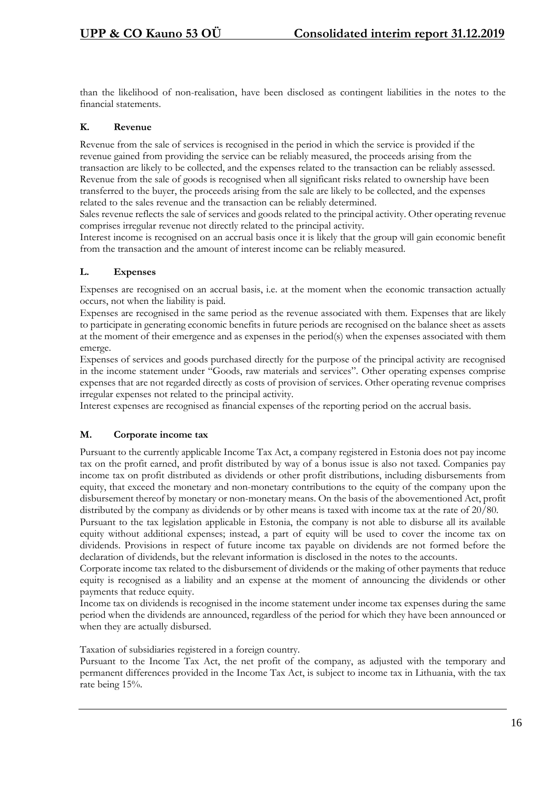than the likelihood of non-realisation, have been disclosed as contingent liabilities in the notes to the financial statements.

#### **K. Revenue**

Revenue from the sale of services is recognised in the period in which the service is provided if the revenue gained from providing the service can be reliably measured, the proceeds arising from the transaction are likely to be collected, and the expenses related to the transaction can be reliably assessed. Revenue from the sale of goods is recognised when all significant risks related to ownership have been transferred to the buyer, the proceeds arising from the sale are likely to be collected, and the expenses related to the sales revenue and the transaction can be reliably determined.

Sales revenue reflects the sale of services and goods related to the principal activity. Other operating revenue comprises irregular revenue not directly related to the principal activity.

Interest income is recognised on an accrual basis once it is likely that the group will gain economic benefit from the transaction and the amount of interest income can be reliably measured.

#### **L. Expenses**

Expenses are recognised on an accrual basis, i.e. at the moment when the economic transaction actually occurs, not when the liability is paid.

Expenses are recognised in the same period as the revenue associated with them. Expenses that are likely to participate in generating economic benefits in future periods are recognised on the balance sheet as assets at the moment of their emergence and as expenses in the period(s) when the expenses associated with them emerge.

Expenses of services and goods purchased directly for the purpose of the principal activity are recognised in the income statement under "Goods, raw materials and services". Other operating expenses comprise expenses that are not regarded directly as costs of provision of services. Other operating revenue comprises irregular expenses not related to the principal activity.

Interest expenses are recognised as financial expenses of the reporting period on the accrual basis.

#### **M. Corporate income tax**

Pursuant to the currently applicable Income Tax Act, a company registered in Estonia does not pay income tax on the profit earned, and profit distributed by way of a bonus issue is also not taxed. Companies pay income tax on profit distributed as dividends or other profit distributions, including disbursements from equity, that exceed the monetary and non-monetary contributions to the equity of the company upon the disbursement thereof by monetary or non-monetary means. On the basis of the abovementioned Act, profit distributed by the company as dividends or by other means is taxed with income tax at the rate of 20/80.

Pursuant to the tax legislation applicable in Estonia, the company is not able to disburse all its available equity without additional expenses; instead, a part of equity will be used to cover the income tax on dividends. Provisions in respect of future income tax payable on dividends are not formed before the declaration of dividends, but the relevant information is disclosed in the notes to the accounts.

Corporate income tax related to the disbursement of dividends or the making of other payments that reduce equity is recognised as a liability and an expense at the moment of announcing the dividends or other payments that reduce equity.

Income tax on dividends is recognised in the income statement under income tax expenses during the same period when the dividends are announced, regardless of the period for which they have been announced or when they are actually disbursed.

Taxation of subsidiaries registered in a foreign country.

Pursuant to the Income Tax Act, the net profit of the company, as adjusted with the temporary and permanent differences provided in the Income Tax Act, is subject to income tax in Lithuania, with the tax rate being 15%.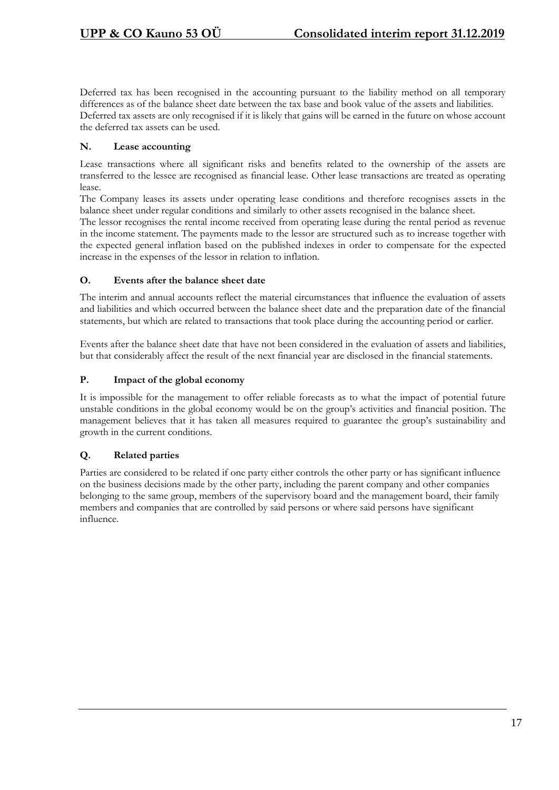Deferred tax has been recognised in the accounting pursuant to the liability method on all temporary differences as of the balance sheet date between the tax base and book value of the assets and liabilities. Deferred tax assets are only recognised if it is likely that gains will be earned in the future on whose account the deferred tax assets can be used.

#### **N. Lease accounting**

Lease transactions where all significant risks and benefits related to the ownership of the assets are transferred to the lessee are recognised as financial lease. Other lease transactions are treated as operating lease.

The Company leases its assets under operating lease conditions and therefore recognises assets in the balance sheet under regular conditions and similarly to other assets recognised in the balance sheet.

The lessor recognises the rental income received from operating lease during the rental period as revenue in the income statement. The payments made to the lessor are structured such as to increase together with the expected general inflation based on the published indexes in order to compensate for the expected increase in the expenses of the lessor in relation to inflation.

#### **O. Events after the balance sheet date**

The interim and annual accounts reflect the material circumstances that influence the evaluation of assets and liabilities and which occurred between the balance sheet date and the preparation date of the financial statements, but which are related to transactions that took place during the accounting period or earlier.

Events after the balance sheet date that have not been considered in the evaluation of assets and liabilities, but that considerably affect the result of the next financial year are disclosed in the financial statements.

#### **P. Impact of the global economy**

It is impossible for the management to offer reliable forecasts as to what the impact of potential future unstable conditions in the global economy would be on the group's activities and financial position. The management believes that it has taken all measures required to guarantee the group's sustainability and growth in the current conditions.

## **Q. Related parties**

Parties are considered to be related if one party either controls the other party or has significant influence on the business decisions made by the other party, including the parent company and other companies belonging to the same group, members of the supervisory board and the management board, their family members and companies that are controlled by said persons or where said persons have significant influence.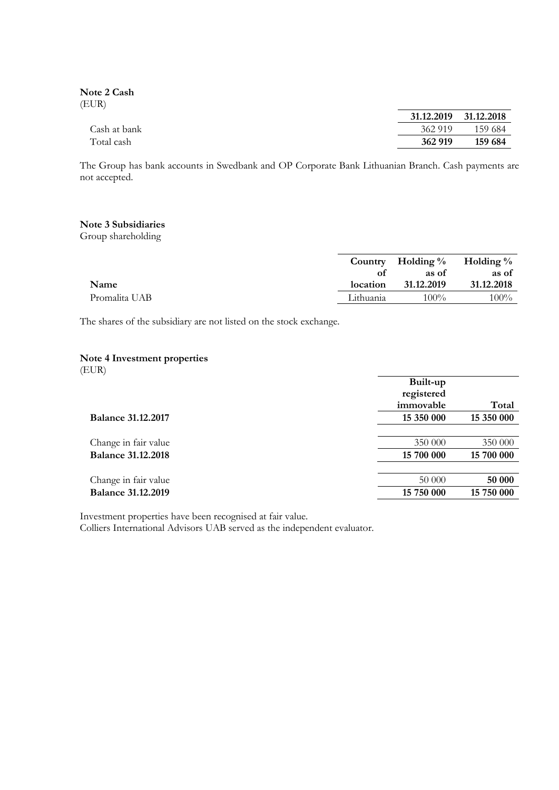**Note 2 Cash** (EUR)

|              |         | 31.12.2019 31.12.2018 |
|--------------|---------|-----------------------|
| Cash at bank | 362 919 | - 159.684             |
| Total cash   | 362 919 | 159 684               |

The Group has bank accounts in Swedbank and OP Corporate Bank Lithuanian Branch. Cash payments are not accepted.

#### **Note 3 Subsidiaries**

Group shareholding

|               |           | Country Holding $\%$ Holding $\%$ |            |
|---------------|-----------|-----------------------------------|------------|
|               |           | as of                             | as of      |
| Name          | location  | 31.12.2019                        | 31.12.2018 |
| Promalita UAB | Lithuania | $100\%$                           | $100\%$    |

The shares of the subsidiary are not listed on the stock exchange.

#### **Note 4 Investment properties**

(EUR)

|                           | Built-up   |            |
|---------------------------|------------|------------|
|                           | registered |            |
|                           | immovable  | Total      |
| <b>Balance 31.12.2017</b> | 15 350 000 | 15 350 000 |
|                           |            |            |
| Change in fair value      | 350 000    | 350 000    |
| <b>Balance 31.12.2018</b> | 15 700 000 | 15 700 000 |
|                           |            |            |
| Change in fair value      | 50 000     | 50 000     |
| <b>Balance 31.12.2019</b> | 15 750 000 | 15 750 000 |
|                           |            |            |

Investment properties have been recognised at fair value.

Colliers International Advisors UAB served as the independent evaluator.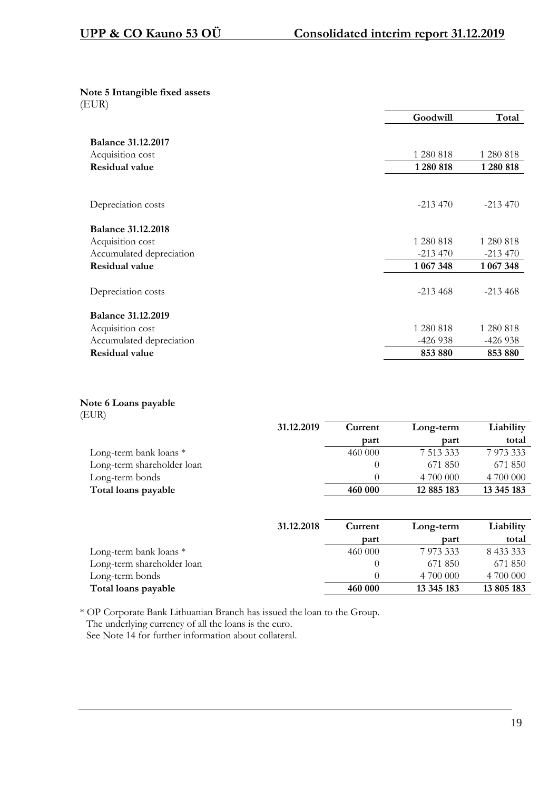#### **Note 5 Intangible fixed assets** (EUR)

|                           | Goodwill  | Total     |
|---------------------------|-----------|-----------|
| <b>Balance 31.12.2017</b> |           |           |
| Acquisition cost          | 1 280 818 | 1 280 818 |
| Residual value            | 1 280 818 | 1280 818  |
|                           |           |           |
|                           |           |           |
| Depreciation costs        | $-213470$ | $-213470$ |
|                           |           |           |
| <b>Balance 31.12.2018</b> |           |           |
| Acquisition cost          | 1 280 818 | 1 280 818 |
| Accumulated depreciation  | $-213470$ | $-213470$ |
| <b>Residual value</b>     | 1 067 348 | 1 067 348 |
|                           |           |           |
| Depreciation costs        | $-213468$ | $-213468$ |
| <b>Balance 31.12.2019</b> |           |           |
| Acquisition cost          | 1 280 818 | 1 280 818 |
| Accumulated depreciation  | -426 938  | $-426938$ |
| <b>Residual value</b>     | 853 880   | 853 880   |

## **Note 6 Loans payable**

| ×<br>v<br>× |  |
|-------------|--|

|                            | 31.12.2019 | Current | Long-term  | Liability  |
|----------------------------|------------|---------|------------|------------|
|                            |            | part    | part       | total      |
| Long-term bank loans $*$   |            | 460 000 | 7 513 333  | 7 973 333  |
| Long-term shareholder loan |            |         | 671 850    | 671 850    |
| Long-term bonds            |            |         | 4 700 000  | 4 700 000  |
| Total loans payable        |            | 460 000 | 12 885 183 | 13 345 183 |

|                            | 31.12.2018 | Current | Long-term  | Liability  |
|----------------------------|------------|---------|------------|------------|
|                            |            | part    | part       | total      |
| Long-term bank loans $*$   |            | 460 000 | 7 973 333  | 8 433 333  |
| Long-term shareholder loan |            |         | 671 850    | 671 850    |
| Long-term bonds            |            |         | 4 700 000  | 4 700 000  |
| Total loans payable        |            | 460 000 | 13 345 183 | 13 805 183 |

\* OP Corporate Bank Lithuanian Branch has issued the loan to the Group. The underlying currency of all the loans is the euro. See Note 14 for further information about collateral.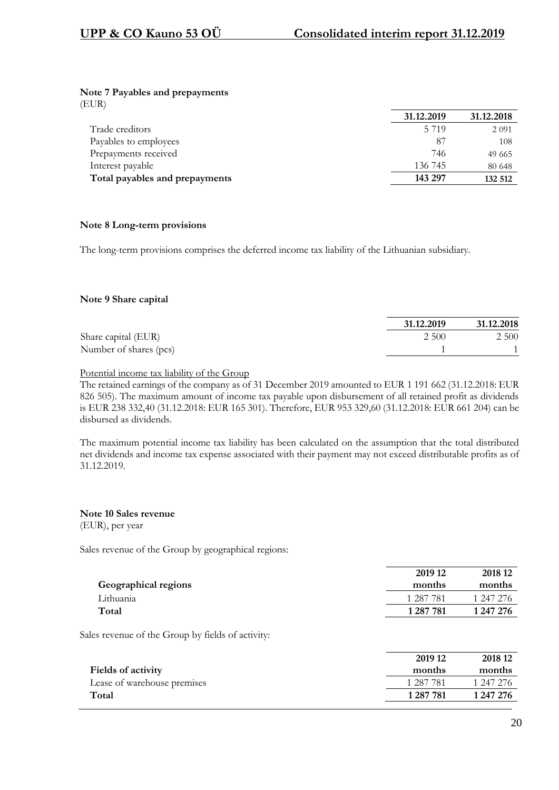#### **Note 7 Payables and prepayments**

(EUR)

|                                | 31.12.2019 | 31.12.2018 |
|--------------------------------|------------|------------|
| Trade creditors                | 5 7 1 9    | 2 0 9 1    |
| Payables to employees          | 87         | 108        |
| Prepayments received           | 746        | 49 665     |
| Interest payable               | 136 745    | 80 648     |
| Total payables and prepayments | 143 297    | 132 512    |

#### **Note 8 Long-term provisions**

The long-term provisions comprises the deferred income tax liability of the Lithuanian subsidiary.

#### **Note 9 Share capital**

|                        | 31.12.2019 | 31.12.2018 |
|------------------------|------------|------------|
| Share capital (EUR)    | 2 500      | 2 500      |
| Number of shares (pcs) |            |            |

#### Potential income tax liability of the Group

The retained earnings of the company as of 31 December 2019 amounted to EUR 1 191 662 (31.12.2018: EUR 826 505). The maximum amount of income tax payable upon disbursement of all retained profit as dividends is EUR 238 332,40 (31.12.2018: EUR 165 301). Therefore, EUR 953 329,60 (31.12.2018: EUR 661 204) can be disbursed as dividends.

The maximum potential income tax liability has been calculated on the assumption that the total distributed net dividends and income tax expense associated with their payment may not exceed distributable profits as of 31.12.2019.

#### **Note 10 Sales revenue** (EUR), per year

Sales revenue of the Group by geographical regions:

|                      | 2019 12   | 2018 12   |
|----------------------|-----------|-----------|
| Geographical regions | months    | months    |
| Lithuania            | 1 287 781 | 1 247 276 |
| Total                | 1 287 781 | 1 247 276 |
|                      |           |           |

Sales revenue of the Group by fields of activity:

|                             | 2019 12   | 2018 12   |
|-----------------------------|-----------|-----------|
| <b>Fields of activity</b>   | months    | months    |
| Lease of warehouse premises | 1 287 781 | 1 247 276 |
| Total                       | 1 287 781 | 1 247 276 |
|                             |           |           |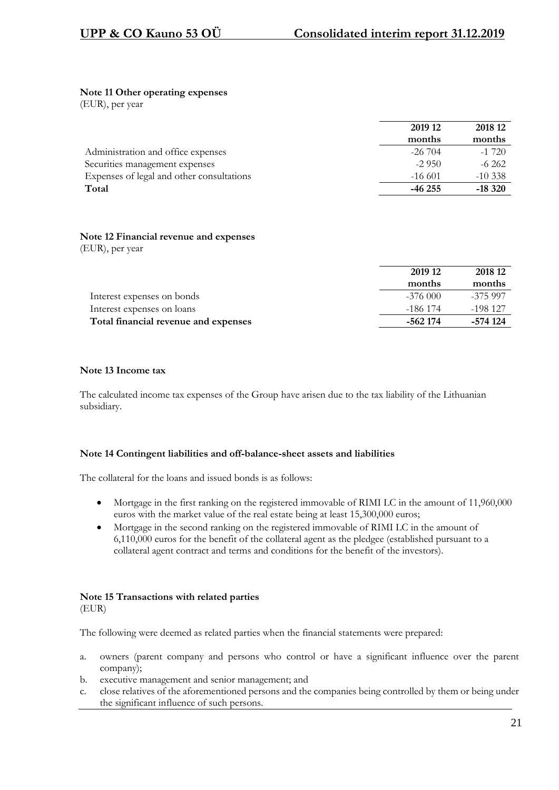#### **Note 11 Other operating expenses**

(EUR), per year

|                                           | 2019 12    | 2018 12   |
|-------------------------------------------|------------|-----------|
|                                           | months     | months    |
| Administration and office expenses        | $-26\,704$ | $-1720$   |
| Securities management expenses            | $-2950$    | $-6262$   |
| Expenses of legal and other consultations | $-16601$   | $-10.338$ |
| Total                                     | $-46255$   | $-18320$  |
|                                           |            |           |

# **Note 12 Financial revenue and expenses**

(EUR), per year

|                                      | 2019 12   | 2018 12  |
|--------------------------------------|-----------|----------|
|                                      | months    | months   |
| Interest expenses on bonds           | $-376000$ | -375 997 |
| Interest expenses on loans           | -186 174  | -198 127 |
| Total financial revenue and expenses | -562 174  | -574 124 |

#### **Note 13 Income tax**

The calculated income tax expenses of the Group have arisen due to the tax liability of the Lithuanian subsidiary.

#### **Note 14 Contingent liabilities and off-balance-sheet assets and liabilities**

The collateral for the loans and issued bonds is as follows:

- Mortgage in the first ranking on the registered immovable of RIMI LC in the amount of 11,960,000 euros with the market value of the real estate being at least 15,300,000 euros;
- Mortgage in the second ranking on the registered immovable of RIMI LC in the amount of 6,110,000 euros for the benefit of the collateral agent as the pledgee (established pursuant to a collateral agent contract and terms and conditions for the benefit of the investors).

#### **Note 15 Transactions with related parties** (EUR)

The following were deemed as related parties when the financial statements were prepared:

- a. owners (parent company and persons who control or have a significant influence over the parent company);
- b. executive management and senior management; and
- c. close relatives of the aforementioned persons and the companies being controlled by them or being under the significant influence of such persons.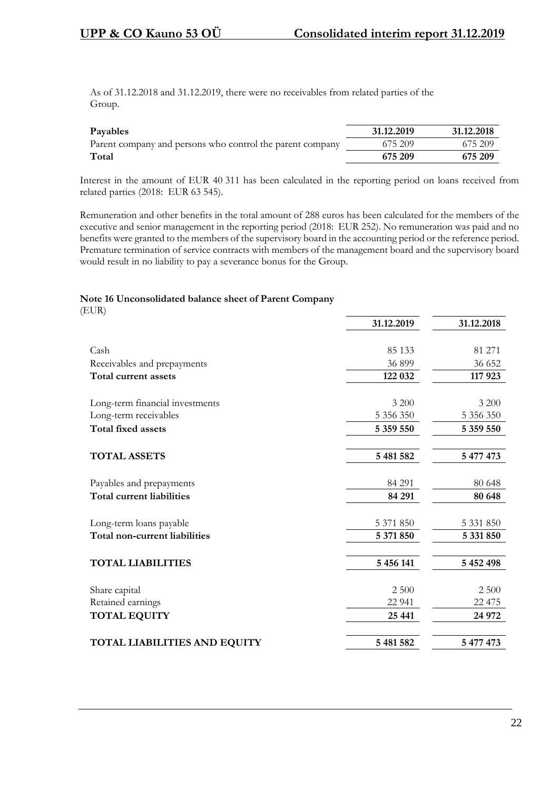As of 31.12.2018 and 31.12.2019, there were no receivables from related parties of the Group.

| Payables                                                  | 31.12.2019 | 31.12.2018 |
|-----------------------------------------------------------|------------|------------|
| Parent company and persons who control the parent company | 675 209    | 675 209    |
| Total                                                     | 675 209    | 675 209    |

Interest in the amount of EUR 40 311 has been calculated in the reporting period on loans received from related parties (2018: EUR 63 545).

Remuneration and other benefits in the total amount of 288 euros has been calculated for the members of the executive and senior management in the reporting period (2018: EUR 252). No remuneration was paid and no benefits were granted to the members of the supervisory board in the accounting period or the reference period. Premature termination of service contracts with members of the management board and the supervisory board would result in no liability to pay a severance bonus for the Group.

#### **Note 16 Unconsolidated balance sheet of Parent Company**

(EUR)

|                                     | 31.12.2019 | 31.12.2018 |
|-------------------------------------|------------|------------|
|                                     |            |            |
| Cash                                | 85 133     | 81 271     |
| Receivables and prepayments         | 36 899     | 36 652     |
| Total current assets                | 122 032    | 117 923    |
|                                     |            |            |
| Long-term financial investments     | 3 200      | 3 200      |
| Long-term receivables               | 5 356 350  | 5 356 350  |
| <b>Total fixed assets</b>           | 5 359 550  | 5 359 550  |
| <b>TOTAL ASSETS</b>                 | 5 481 582  | 5 477 473  |
| Payables and prepayments            | 84 291     | 80 648     |
| <b>Total current liabilities</b>    | 84 291     | 80 648     |
| Long-term loans payable             | 5 371 850  | 5 331 850  |
| Total non-current liabilities       | 5 371 850  | 5 331 850  |
| <b>TOTAL LIABILITIES</b>            | 5 456 141  | 5 452 498  |
|                                     |            |            |
| Share capital                       | 2 500      | 2 500      |
| Retained earnings                   | 22 941     | 22 475     |
| <b>TOTAL EQUITY</b>                 | 25 441     | 24 972     |
| <b>TOTAL LIABILITIES AND EQUITY</b> | 5 481 582  | 5 477 473  |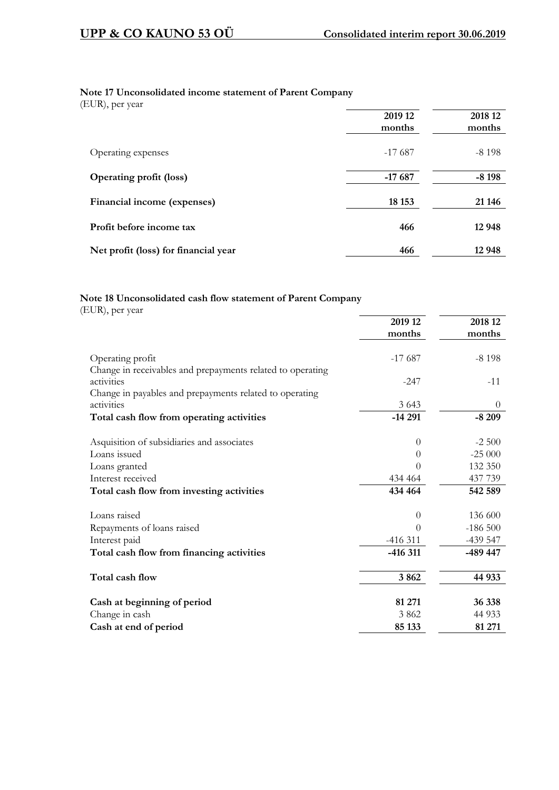## **Note 17 Unconsolidated income statement of Parent Company**

(EUR), per year

|                                      | 2019 12<br>months | 2018 12<br>months |
|--------------------------------------|-------------------|-------------------|
| Operating expenses                   | $-17687$          | $-8198$           |
| <b>Operating profit (loss)</b>       | $-17687$          | $-8198$           |
| Financial income (expenses)          | 18 15 3           | 21 14 6           |
| Profit before income tax             | 466               | 12 948            |
| Net profit (loss) for financial year | 466               | 12 948            |

## **Note 18 Unconsolidated cash flow statement of Parent Company**

(EUR), per year

|                                                                                | 2019 12      | 2018 12   |
|--------------------------------------------------------------------------------|--------------|-----------|
|                                                                                | months       | months    |
| Operating profit<br>Change in receivables and prepayments related to operating | $-17687$     | $-8198$   |
| activities                                                                     | $-247$       | $-11$     |
| Change in payables and prepayments related to operating                        |              |           |
| activities                                                                     | 3 6 4 3      | $\theta$  |
| Total cash flow from operating activities                                      | $-14291$     | $-8209$   |
| Asquisition of subsidiaries and associates                                     | $\theta$     | $-2500$   |
| Loans issued                                                                   | $\Omega$     | $-25000$  |
| Loans granted                                                                  | $\mathbf{0}$ | 132 350   |
| Interest received                                                              | 434 464      | 437 739   |
| Total cash flow from investing activities                                      | 434 464      | 542 589   |
| Loans raised                                                                   | $\theta$     | 136 600   |
| Repayments of loans raised                                                     | $\theta$     | $-186500$ |
| Interest paid                                                                  | $-416311$    | $-439547$ |
| Total cash flow from financing activities                                      | $-416311$    | -489 447  |
| Total cash flow                                                                | 3862         | 44 933    |
| Cash at beginning of period                                                    | 81 271       | 36 338    |
| Change in cash                                                                 | 3862         | 44 9 33   |
| Cash at end of period                                                          | 85 133       | 81 271    |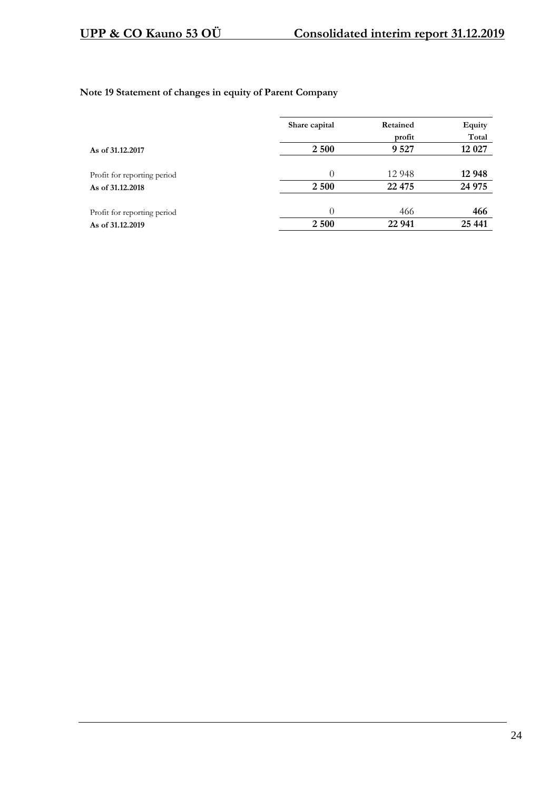## **Note 19 Statement of changes in equity of Parent Company**

|                             | Share capital | Retained | Equity  |  |
|-----------------------------|---------------|----------|---------|--|
|                             |               | profit   | Total   |  |
| As of 31.12.2017            | 2 500         | 9 5 27   | 12 0 27 |  |
|                             |               |          |         |  |
| Profit for reporting period | $\theta$      | 12 948   | 12 948  |  |
| As of 31.12.2018            | 2 500         | 22 4 7 5 | 24 975  |  |
|                             |               |          |         |  |
| Profit for reporting period | 0             | 466      | 466     |  |
| As of 31.12.2019            | 2 500         | 22 941   | 25 441  |  |